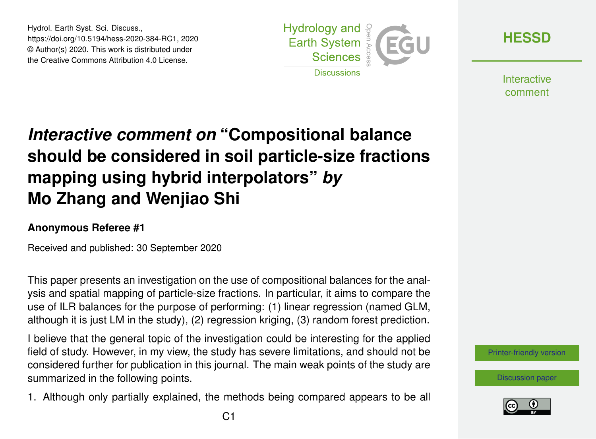Hydrol. Earth Syst. Sci. Discuss., https://doi.org/10.5194/hess-2020-384-RC1, 2020 © Author(s) 2020. This work is distributed under the Creative Commons Attribution 4.0 License.



**[HESSD](https://hess.copernicus.org/preprints/)**

**Interactive** comment

## *Interactive comment on* **"Compositional balance should be considered in soil particle-size fractions mapping using hybrid interpolators"** *by* **Mo Zhang and Wenjiao Shi**

## **Anonymous Referee #1**

Received and published: 30 September 2020

This paper presents an investigation on the use of compositional balances for the analysis and spatial mapping of particle-size fractions. In particular, it aims to compare the use of ILR balances for the purpose of performing: (1) linear regression (named GLM, although it is just LM in the study), (2) regression kriging, (3) random forest prediction.

I believe that the general topic of the investigation could be interesting for the applied field of study. However, in my view, the study has severe limitations, and should not be considered further for publication in this journal. The main weak points of the study are summarized in the following points.

1. Although only partially explained, the methods being compared appears to be all

[Printer-friendly version](https://hess.copernicus.org/preprints/hess-2020-384/hess-2020-384-RC1-print.pdf)

[Discussion paper](https://hess.copernicus.org/preprints/hess-2020-384)

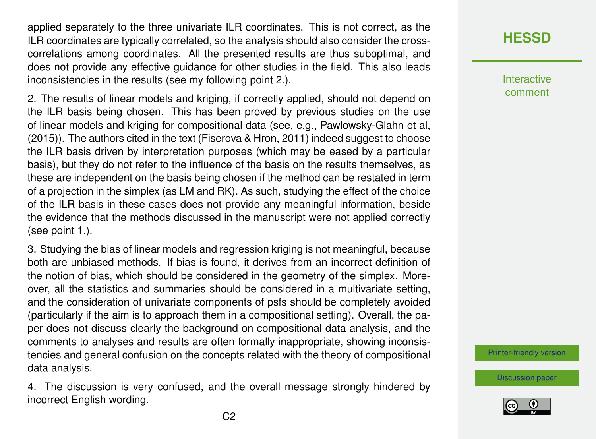applied separately to the three univariate ILR coordinates. This is not correct, as the ILR coordinates are typically correlated, so the analysis should also consider the crosscorrelations among coordinates. All the presented results are thus suboptimal, and does not provide any effective guidance for other studies in the field. This also leads inconsistencies in the results (see my following point 2.).

2. The results of linear models and kriging, if correctly applied, should not depend on the ILR basis being chosen. This has been proved by previous studies on the use of linear models and kriging for compositional data (see, e.g., Pawlowsky-Glahn et al, (2015)). The authors cited in the text (Fiserova & Hron, 2011) indeed suggest to choose the ILR basis driven by interpretation purposes (which may be eased by a particular basis), but they do not refer to the influence of the basis on the results themselves, as these are independent on the basis being chosen if the method can be restated in term of a projection in the simplex (as LM and RK). As such, studying the effect of the choice of the ILR basis in these cases does not provide any meaningful information, beside the evidence that the methods discussed in the manuscript were not applied correctly (see point 1.).

3. Studying the bias of linear models and regression kriging is not meaningful, because both are unbiased methods. If bias is found, it derives from an incorrect definition of the notion of bias, which should be considered in the geometry of the simplex. Moreover, all the statistics and summaries should be considered in a multivariate setting, and the consideration of univariate components of psfs should be completely avoided (particularly if the aim is to approach them in a compositional setting). Overall, the paper does not discuss clearly the background on compositional data analysis, and the comments to analyses and results are often formally inappropriate, showing inconsistencies and general confusion on the concepts related with the theory of compositional data analysis.

4. The discussion is very confused, and the overall message strongly hindered by incorrect English wording.

## **[HESSD](https://hess.copernicus.org/preprints/)**

Interactive comment

[Printer-friendly version](https://hess.copernicus.org/preprints/hess-2020-384/hess-2020-384-RC1-print.pdf)

[Discussion paper](https://hess.copernicus.org/preprints/hess-2020-384)